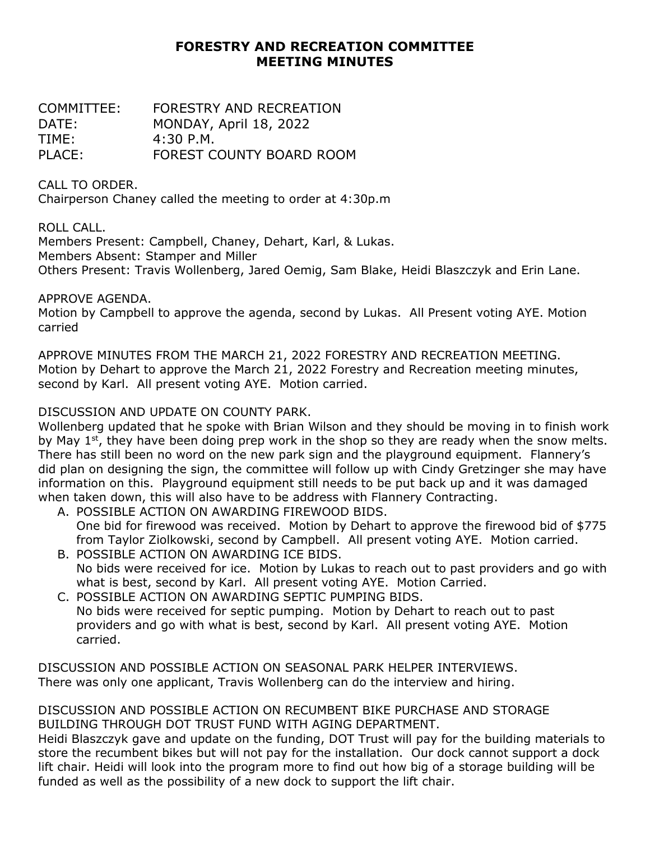## **FORESTRY AND RECREATION COMMITTEE MEETING MINUTES**

COMMITTEE: FORESTRY AND RECREATION DATE: MONDAY, April 18, 2022 TIME: 4:30 P.M. PLACE: FOREST COUNTY BOARD ROOM

CALL TO ORDER.

Chairperson Chaney called the meeting to order at 4:30p.m

ROLL CALL.

Members Present: Campbell, Chaney, Dehart, Karl, & Lukas. Members Absent: Stamper and Miller

Others Present: Travis Wollenberg, Jared Oemig, Sam Blake, Heidi Blaszczyk and Erin Lane.

APPROVE AGENDA.

Motion by Campbell to approve the agenda, second by Lukas. All Present voting AYE. Motion carried

APPROVE MINUTES FROM THE MARCH 21, 2022 FORESTRY AND RECREATION MEETING. Motion by Dehart to approve the March 21, 2022 Forestry and Recreation meeting minutes, second by Karl. All present voting AYE. Motion carried.

## DISCUSSION AND UPDATE ON COUNTY PARK.

Wollenberg updated that he spoke with Brian Wilson and they should be moving in to finish work by May  $1<sup>st</sup>$ , they have been doing prep work in the shop so they are ready when the snow melts. There has still been no word on the new park sign and the playground equipment. Flannery's did plan on designing the sign, the committee will follow up with Cindy Gretzinger she may have information on this. Playground equipment still needs to be put back up and it was damaged when taken down, this will also have to be address with Flannery Contracting.

- A. POSSIBLE ACTION ON AWARDING FIREWOOD BIDS. One bid for firewood was received. Motion by Dehart to approve the firewood bid of \$775 from Taylor Ziolkowski, second by Campbell. All present voting AYE. Motion carried.
- B. POSSIBLE ACTION ON AWARDING ICE BIDS. No bids were received for ice. Motion by Lukas to reach out to past providers and go with what is best, second by Karl. All present voting AYE. Motion Carried.
- C. POSSIBLE ACTION ON AWARDING SEPTIC PUMPING BIDS. No bids were received for septic pumping. Motion by Dehart to reach out to past providers and go with what is best, second by Karl. All present voting AYE. Motion carried.

DISCUSSION AND POSSIBLE ACTION ON SEASONAL PARK HELPER INTERVIEWS. There was only one applicant, Travis Wollenberg can do the interview and hiring.

## DISCUSSION AND POSSIBLE ACTION ON RECUMBENT BIKE PURCHASE AND STORAGE BUILDING THROUGH DOT TRUST FUND WITH AGING DEPARTMENT.

Heidi Blaszczyk gave and update on the funding, DOT Trust will pay for the building materials to store the recumbent bikes but will not pay for the installation. Our dock cannot support a dock lift chair. Heidi will look into the program more to find out how big of a storage building will be funded as well as the possibility of a new dock to support the lift chair.